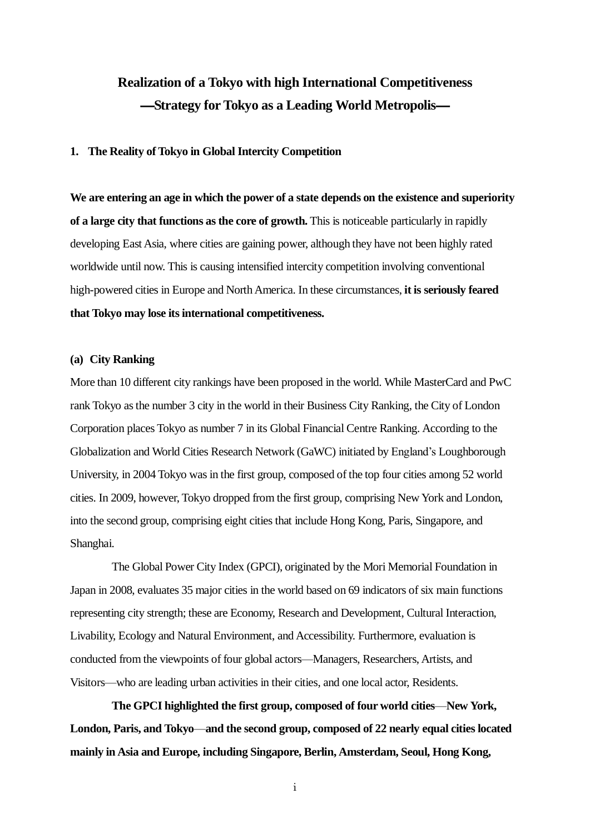# **Realization of a Tokyo with high International Competitiveness** ―**Strategy for Tokyo as a Leading World Metropolis**―

## **1. The Reality of Tokyo in Global Intercity Competition**

**We are entering an age in which the power of a state depends on the existence and superiority of a large city that functions as the core of growth.** This is noticeable particularly in rapidly developing East Asia, where cities are gaining power, although they have not been highly rated worldwide until now. This is causing intensified intercity competition involving conventional high-powered cities in Europe and North America. In these circumstances, **it is seriously feared that Tokyo may lose its international competitiveness.**

## **(a) City Ranking**

More than 10 different city rankings have been proposed in the world. While MasterCard and PwC rank Tokyo as the number 3 city in the world in their Business City Ranking, the City of London Corporation places Tokyo as number 7 in its Global Financial Centre Ranking. According to the Globalization and World Cities Research Network (GaWC) initiated by England's Loughborough University, in 2004 Tokyo was in the first group, composed of the top four cities among 52 world cities. In 2009, however, Tokyo dropped from the first group, comprising New York and London, into the second group, comprising eight cities that include Hong Kong, Paris, Singapore, and Shanghai.

The Global Power City Index (GPCI), originated by the Mori Memorial Foundation in Japan in 2008, evaluates 35 major cities in the world based on 69 indicators of six main functions representing city strength; these are Economy, Research and Development, Cultural Interaction, Livability, Ecology and Natural Environment, and Accessibility. Furthermore, evaluation is conducted from the viewpoints of four global actors—Managers, Researchers, Artists, and Visitors—who are leading urban activities in their cities, and one local actor, Residents.

**The GPCI highlighted the first group, composed of four world cities**—**New York, London, Paris, and Tokyo**—**and the second group, composed of 22 nearly equal cities located mainly in Asia and Europe, including Singapore, Berlin, Amsterdam, Seoul, Hong Kong,** 

i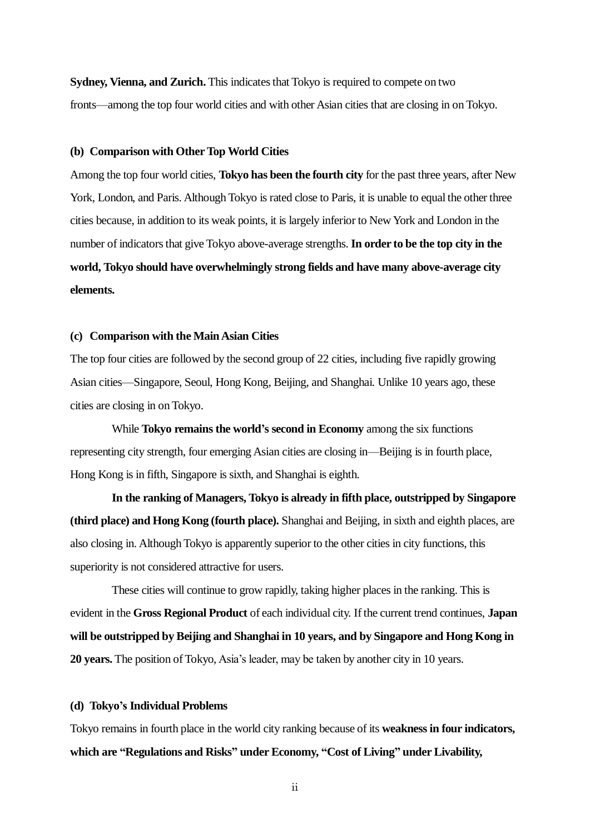**Sydney, Vienna, and Zurich.** This indicates that Tokyo is required to compete on two fronts—among the top four world cities and with other Asian cities that are closing in on Tokyo.

#### **(b) Comparison with Other Top World Cities**

Among the top four world cities, **Tokyo has been the fourth city** for the past three years, after New York, London, and Paris. Although Tokyo is rated close to Paris, it is unable to equal the other three cities because, in addition to its weak points, it is largely inferior to New York and London in the number of indicators that give Tokyo above-average strengths. **In order to be the top city in the world, Tokyo should have overwhelmingly strong fields and have many above-average city elements.**

# **(c) Comparison with the Main Asian Cities**

The top four cities are followed by the second group of 22 cities, including five rapidly growing Asian cities—Singapore, Seoul, Hong Kong, Beijing, and Shanghai. Unlike 10 years ago, these cities are closing in on Tokyo.

While **Tokyo remains the world's second in Economy** among the six functions representing city strength, four emerging Asian cities are closing in—Beijing is in fourth place, Hong Kong is in fifth, Singapore is sixth, and Shanghai is eighth.

**In the ranking of Managers, Tokyo is already in fifth place, outstripped by Singapore (third place) and Hong Kong (fourth place).** Shanghai and Beijing, in sixth and eighth places, are also closing in. Although Tokyo is apparently superior to the other cities in city functions, this superiority is not considered attractive for users.

These cities will continue to grow rapidly, taking higher places in the ranking. This is evident in the **Gross Regional Product** of each individual city. If the current trend continues, **Japan will be outstripped by Beijing and Shanghai in 10 years, and by Singapore and Hong Kong in 20 years.** The position of Tokyo, Asia's leader, may be taken by another city in 10 years.

#### **(d) Tokyo's Individual Problems**

Tokyo remains in fourth place in the world city ranking because of its **weakness in four indicators, which are "Regulations and Risks" under Economy, "Cost of Living" under Livability,** 

ii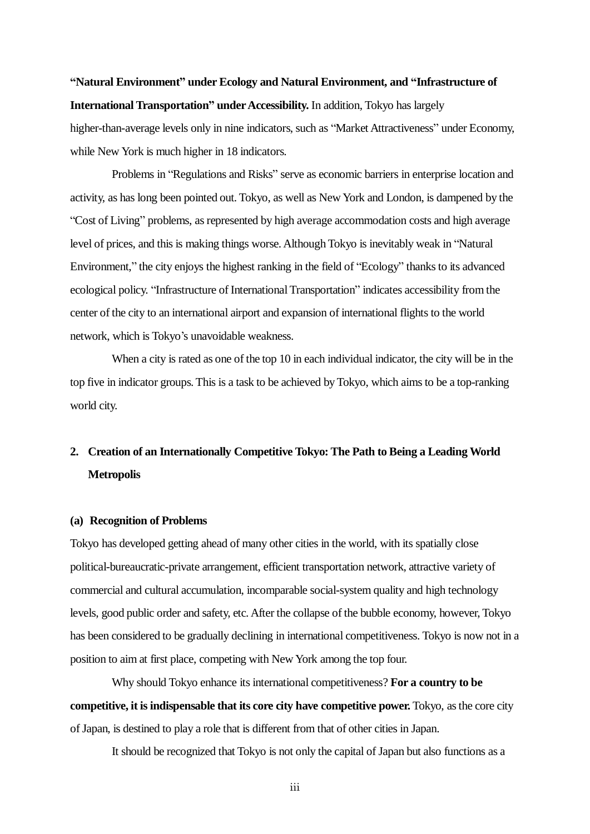# **"Natural Environment" under Ecology and Natural Environment, and "Infrastructure of International Transportation" under Accessibility.** In addition, Tokyo has largely

higher-than-average levels only in nine indicators, such as "Market Attractiveness" under Economy, while New York is much higher in 18 indicators.

Problems in "Regulations and Risks" serve as economic barriers in enterprise location and activity, as has long been pointed out. Tokyo, as well as New York and London, is dampened by the "Cost of Living" problems, as represented by high average accommodation costs and high average level of prices, and this is making things worse. Although Tokyo is inevitably weak in "Natural" Environment," the city enjoys the highest ranking in the field of "Ecology" thanks to its advanced ecological policy. "Infrastructure of International Transportation" indicates accessibility from the center of the city to an international airport and expansion of international flights to the world network, which is Tokyo's unavoidable weakness.

When a city is rated as one of the top 10 in each individual indicator, the city will be in the top five in indicator groups. This is a task to be achieved by Tokyo, which aims to be a top-ranking world city.

# **2. Creation of an Internationally Competitive Tokyo: The Path to Being a Leading World Metropolis**

## **(a) Recognition of Problems**

Tokyo has developed getting ahead of many other cities in the world, with its spatially close political-bureaucratic-private arrangement, efficient transportation network, attractive variety of commercial and cultural accumulation, incomparable social-system quality and high technology levels, good public order and safety, etc. After the collapse of the bubble economy, however, Tokyo has been considered to be gradually declining in international competitiveness. Tokyo is now not in a position to aim at first place, competing with New York among the top four.

Why should Tokyo enhance its international competitiveness? **For a country to be competitive, it is indispensable that its core city have competitive power.** Tokyo, as the core city ofJapan, is destined to play a role that is different from that of other cities in Japan.

It should be recognized that Tokyo is not only the capital of Japan but also functions as a

iii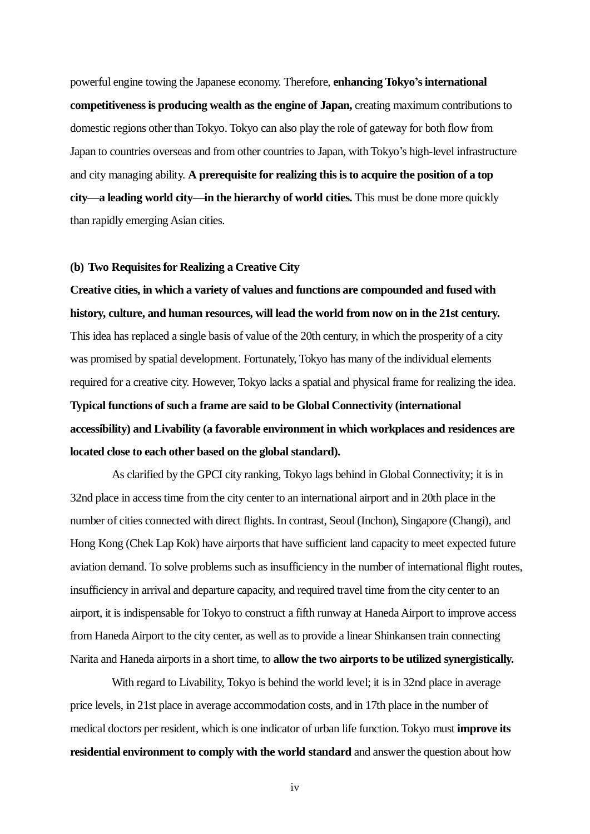powerful engine towing the Japanese economy. Therefore, **enhancing Tokyo's international competitiveness is producing wealth as the engine of Japan,** creating maximum contributionsto domestic regions other than Tokyo. Tokyo can also play the role of gateway for both flow from Japan to countries overseas and from other countries to Japan, with Tokyo's high-level infrastructure and city managing ability. **A prerequisite for realizing this is to acquire the position of a top city—a leading world city—in the hierarchy of world cities.** This must be done more quickly than rapidly emerging Asian cities.

#### **(b) Two Requisites for Realizing a Creative City**

**Creative cities, in which a variety of values and functions are compounded and fused with history, culture, and human resources, will lead the world from now on in the 21st century.**  This idea has replaced a single basis of value of the 20th century, in which the prosperity of a city was promised by spatial development. Fortunately, Tokyo has many of the individual elements required for a creative city. However, Tokyo lacks a spatial and physical frame for realizing the idea. **Typical functions of such a frame are said to be Global Connectivity (international accessibility) and Livability (a favorable environment in which workplaces and residences are** 

**located close to each other based on the global standard).**

As clarified by the GPCI city ranking, Tokyo lags behind in Global Connectivity; it is in 32nd place in access time from the city center to an international airport and in 20th place in the number of cities connected with direct flights. In contrast, Seoul (Inchon), Singapore (Changi), and Hong Kong (Chek Lap Kok) have airports that have sufficient land capacity to meet expected future aviation demand. To solve problems such as insufficiency in the number of international flight routes, insufficiency in arrival and departure capacity, and required travel time from the city center to an airport, it is indispensable for Tokyo to construct a fifth runway at Haneda Airport to improve access from Haneda Airport to the city center, as well as to provide a linear Shinkansen train connecting Narita and Haneda airports in a short time, to **allow the two airports to be utilized synergistically.**

With regard to Livability, Tokyo is behind the world level; it is in 32nd place in average price levels, in 21st place in average accommodation costs, and in 17th place in the number of medical doctors per resident, which is one indicator of urban life function. Tokyo must **improve its residential environment to comply with the world standard** and answer the question about how

iv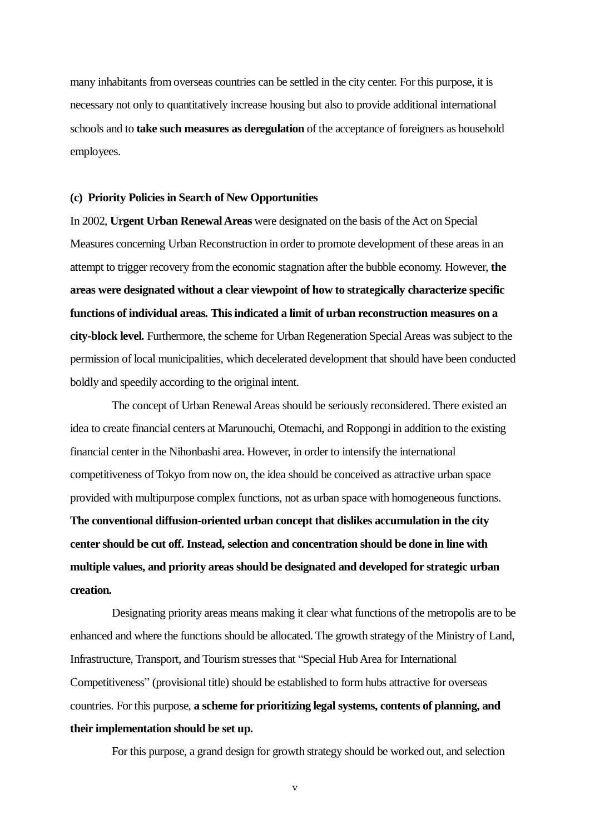many inhabitants from overseas countries can be settled in the city center. For this purpose, it is necessary not only to quantitatively increase housing but also to provide additional international schools and to **take such measures as deregulation** of the acceptance of foreigners as household employees.

#### **(c) Priority Policies in Search of New Opportunities**

In 2002, **Urgent Urban Renewal Areas** were designated on the basis of the Act on Special Measures concerning Urban Reconstruction in order to promote development of these areas in an attempt to trigger recovery from the economic stagnation after the bubble economy. However, **the areas were designated without a clear viewpoint of how to strategically characterize specific functions of individual areas. This indicated a limit of urban reconstruction measures on a city-block level.** Furthermore, the scheme for Urban Regeneration Special Areas was subject to the permission of local municipalities, which decelerated development that should have been conducted boldly and speedily according to the original intent.

The concept of Urban Renewal Areas should be seriously reconsidered. There existed an idea to create financial centers at Marunouchi, Otemachi, and Roppongi in addition to the existing financial center in the Nihonbashi area. However, in order to intensify the international competitiveness of Tokyo from now on, the idea should be conceived as attractive urban space provided with multipurpose complex functions, not as urban space with homogeneous functions. **The conventional diffusion-oriented urban concept that dislikes accumulation in the city center should be cut off. Instead, selection and concentration should be done in line with multiple values, and priority areas should be designated and developed for strategic urban creation.**

Designating priority areas means making it clear what functions of the metropolis are to be enhanced and where the functions should be allocated. The growth strategy of the Ministry of Land, Infrastructure, Transport, and Tourism stresses that "Special Hub Area for International Competitiveness" (provisional title) should be established to form hubs attractive for overseas countries. For this purpose, **a scheme for prioritizing legal systems, contents of planning, and their implementation should be set up.**

For this purpose, a grand design for growth strategy should be worked out, and selection

v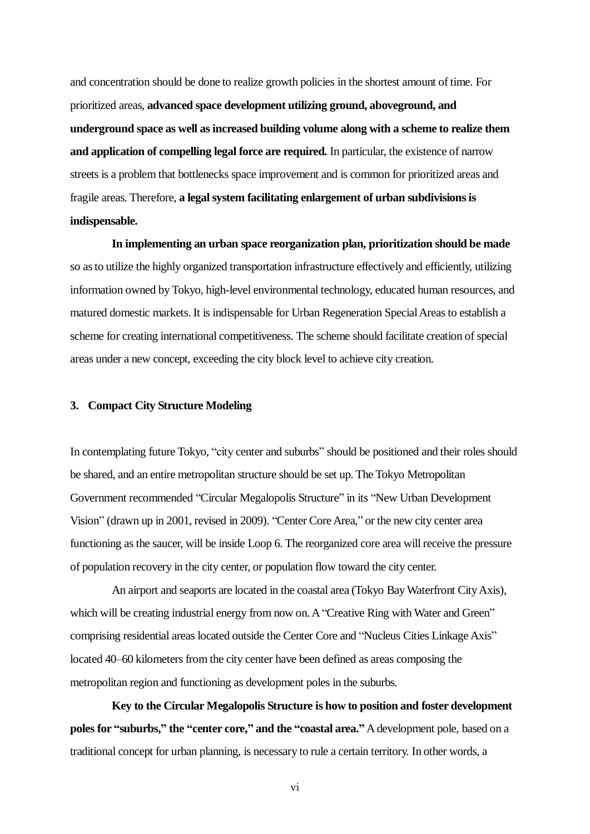and concentration should be done to realize growth policies in the shortest amount of time. For prioritized areas, **advanced space development utilizing ground, aboveground, and underground space as well asincreased building volume along with a scheme to realize them and application of compelling legal force are required.** In particular, the existence of narrow streets is a problem that bottlenecks space improvement and is common for prioritized areas and fragile areas. Therefore, **a legal system facilitating enlargement of urban subdivisions is indispensable.**

**In implementing an urban space reorganization plan, prioritization should be made** so as to utilize the highly organized transportation infrastructure effectively and efficiently, utilizing information owned by Tokyo, high-level environmental technology, educated human resources, and matured domestic markets. It is indispensable for Urban Regeneration Special Areasto establish a scheme for creating international competitiveness. The scheme should facilitate creation of special areas under a new concept, exceeding the city block level to achieve city creation.

## **3. Compact City Structure Modeling**

In contemplating future Tokyo, "city center and suburbs" should be positioned and their roles should be shared, and an entire metropolitan structure should be set up. The Tokyo Metropolitan Government recommended "Circular Megalopolis Structure" in its "New Urban Development Vision" (drawn up in 2001, revised in 2009). "Center Core Area," or the new city center area functioning as the saucer, will be inside Loop 6. The reorganized core area will receive the pressure of population recovery in the city center, or population flow toward the city center.

An airport and seaports are located in the coastal area (Tokyo Bay Waterfront City Axis), which will be creating industrial energy from now on. A "Creative Ring with Water and Green" comprising residential areas located outside the Center Core and "Nucleus Cities Linkage Axis" located 40–60 kilometers from the city center have been defined as areas composing the metropolitan region and functioning as development poles in the suburbs.

**Key to the Circular Megalopolis Structure is how to position and foster development poles for "suburbs," the "center core," and the "coastal area."** A development pole, based on a traditional concept for urban planning, is necessary to rule a certain territory. In other words, a

vi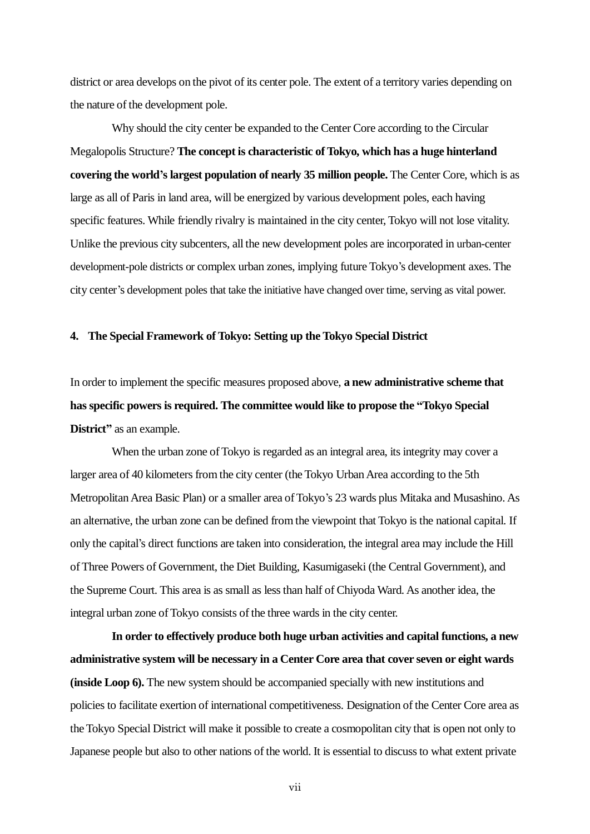district or area develops on the pivot of its center pole. The extent of a territory varies depending on the nature of the development pole.

Why should the city center be expanded to the Center Core according to the Circular Megalopolis Structure? **The concept is characteristic of Tokyo, which has a huge hinterland covering the world's largest population of nearly 35 million people.** The Center Core, which is as large as all of Paris in land area, will be energized by various development poles, each having specific features. While friendly rivalry is maintained in the city center, Tokyo will not lose vitality. Unlike the previous city subcenters, all the new development poles are incorporated in urban-center development-pole districts or complex urban zones, implying future Tokyo's development axes. The city center's development poles that take the initiative have changed over time, serving as vital power.

## **4. The Special Framework of Tokyo: Setting up the Tokyo Special District**

In order to implement the specific measures proposed above, **a new administrative scheme that hasspecific powers is required. The committee would like to propose the "Tokyo Special District"** as an example.

When the urban zone of Tokyo is regarded as an integral area, its integrity may cover a larger area of 40 kilometers from the city center (the Tokyo Urban Area according to the 5th Metropolitan Area Basic Plan) or a smaller area of Tokyo's 23 wards plus Mitaka and Musashino. As an alternative, the urban zone can be defined from the viewpoint that Tokyo is the national capital. If only the capital's direct functions are taken into consideration, the integral area may include the Hill of Three Powers of Government, the Diet Building, Kasumigaseki (the Central Government), and the Supreme Court. This area is as small as less than half of Chiyoda Ward. As another idea, the integral urban zone of Tokyo consists of the three wards in the city center.

**In order to effectively produce both huge urban activities and capital functions, a new administrative system will be necessary in a Center Core area that cover seven or eight wards (inside Loop 6).** The new system should be accompanied specially with new institutions and policies to facilitate exertion of international competitiveness. Designation of the Center Core area as the Tokyo Special District will make it possible to create a cosmopolitan city that is open not only to Japanese people but also to other nations of the world. It is essential to discuss to what extent private

vii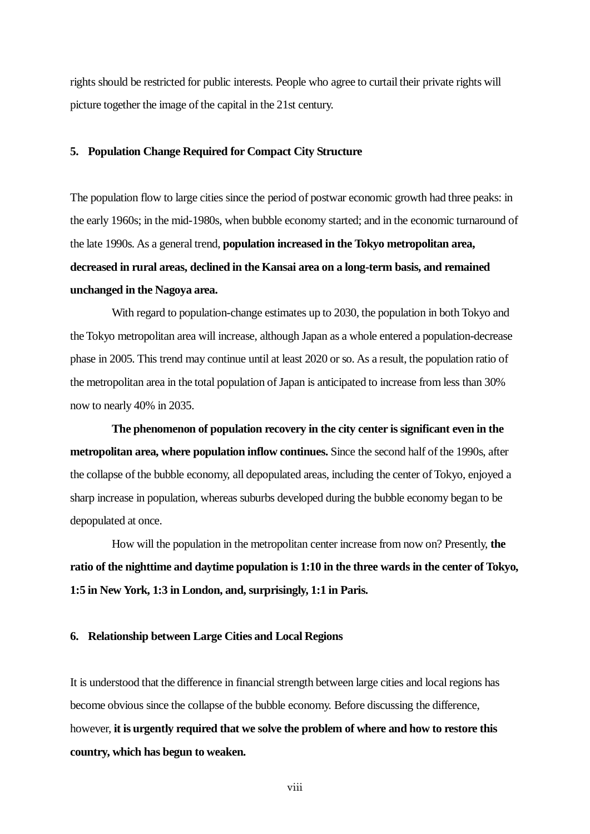rights should be restricted for public interests. People who agree to curtail their private rights will picture together the image of the capital in the 21st century.

## **5. Population Change Required for Compact City Structure**

The population flow to large cities since the period of postwar economic growth had three peaks: in the early 1960s; in the mid-1980s, when bubble economy started; and in the economic turnaround of the late 1990s. As a general trend, **population increased in the Tokyo metropolitan area, decreased in rural areas, declined in the Kansai area on a long-term basis, and remained unchanged in the Nagoya area.**

With regard to population-change estimates up to 2030, the population in both Tokyo and the Tokyo metropolitan area will increase, although Japan as a whole entered a population-decrease phase in 2005. This trend may continue until at least 2020 or so. As a result, the population ratio of the metropolitan area in the total population of Japan is anticipated to increase from less than 30% now to nearly 40% in 2035.

**The phenomenon of population recovery in the city center is significant even in the metropolitan area, where population inflow continues.** Since the second half of the 1990s, after the collapse of the bubble economy, all depopulated areas, including the center of Tokyo, enjoyed a sharp increase in population, whereas suburbs developed during the bubble economy began to be depopulated at once.

How will the population in the metropolitan center increase from now on? Presently, **the ratio of the nighttime and daytime population is 1:10 in the three wards in the center of Tokyo, 1:5 in New York, 1:3 in London, and, surprisingly, 1:1 in Paris.**

#### **6. Relationship between Large Cities and Local Regions**

It is understood that the difference in financial strength between large cities and local regions has become obvious since the collapse of the bubble economy. Before discussing the difference, however, **it is urgently required that we solve the problem of where and how to restore this country, which has begun to weaken.**